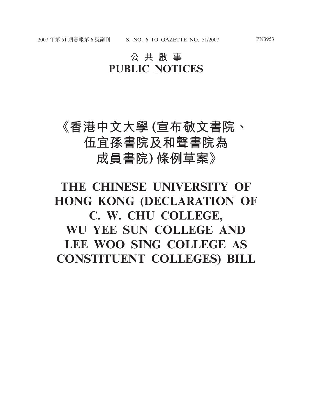## **公共啟事 PUBLIC NOTICES**

## **《香港中文大學 (宣布敬文書院、 伍宜孫書院及和聲書院為 成員書院) 條例草案》**

## **THE CHINESE UNIVERSITY OF HONG KONG (DECLARATION OF C. W. CHU COLLEGE, WU YEE SUN COLLEGE AND LEE WOO SING COLLEGE AS CONSTITUENT COLLEGES) BILL**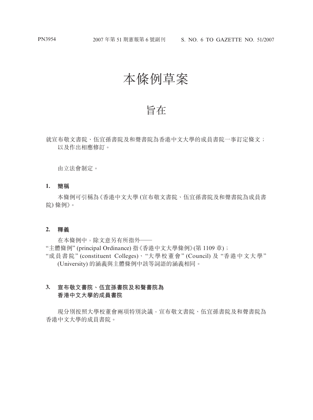## 本條例草案

## 旨在

就宣布敬文書院、伍宜孫書院及和聲書院為香港中文大學的成員書院一事訂定條文; 以及作出相應修訂。

由立法會制定。

**1. 簡稱**

本條例可引稱為《香港中文大學 (宣布敬文書院、伍宜孫書院及和聲書院為成員書 院) 條例》。

### **2. 釋義**

在本條例中,除文意另有所指外—— "主體條例" (principal Ordinance) 指《香港中文大學條例》(第 1109 章); "成員書院" (constituent Colleges)、"大學校董會" (Council) 及 "香港中文大學"

(University) 的涵義與主體條例中該等詞語的涵義相同。

### **3. 宣布敬文書院、伍宜孫書院及和聲書院為 香港中文大學的成員書院**

現分別按照大學校董會兩項特別決議,宣布敬文書院、伍宜孫書院及和聲書院為 香港中文大學的成員書院。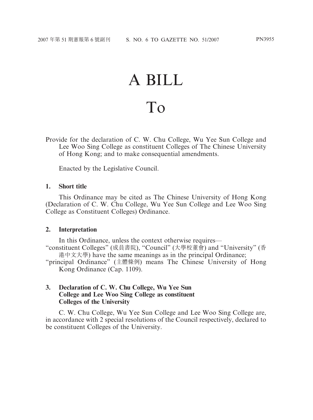# A BILL To

Provide for the declaration of C. W. Chu College, Wu Yee Sun College and Lee Woo Sing College as constituent Colleges of The Chinese University of Hong Kong; and to make consequential amendments.

Enacted by the Legislative Council.

### **1. Short title**

This Ordinance may be cited as The Chinese University of Hong Kong (Declaration of C. W. Chu College, Wu Yee Sun College and Lee Woo Sing College as Constituent Colleges) Ordinance.

### **2. Interpretation**

In this Ordinance, unless the context otherwise requires—

"constituent Colleges" (成員書院), "Council" (大學校董會) and "University" (香 港中文大學) have the same meanings as in the principal Ordinance;

"principal Ordinance" (主體條例) means The Chinese University of Hong Kong Ordinance (Cap. 1109).

### **3. Declaration of C. W. Chu College, Wu Yee Sun College and Lee Woo Sing College as constituent Colleges of the University**

C. W. Chu College, Wu Yee Sun College and Lee Woo Sing College are, in accordance with 2 special resolutions of the Council respectively, declared to be constituent Colleges of the University.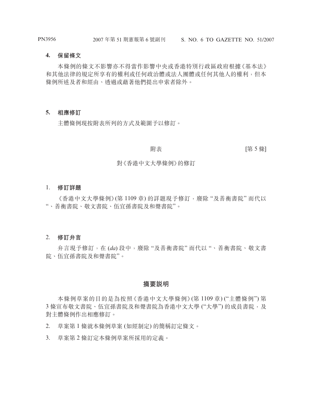### **4. 保留條文**

本條例的條文不影響亦不得當作影響中央或香港特別行政區政府根據《基本法》 和其他法律的規定所享有的權利或任何政治體或法人團體或任何其他人的權利,但本 條例所述及者和經由、透過或藉著他們提出申索者除外。

### **5. 相應修訂**

主體條例現按附表所列的方式及範圍予以修訂。

**附表 インタン マンタン (第 5 條]** 

### 對《香港中文大學條例》的修訂

### 1. **修訂詳題**

《香港中文大學條例》(第1109章) 的詳題現予修訂,廢除"及善衡書院"而代以 "、善衡書院、敬文書院、伍宜孫書院及和聲書院"。

### 2. **修訂弁言**

弁言現予修訂,在 (*da*) 段中,廢除 "及善衡書院" 而代以 "、善衡書院、敬文書 院、伍宜孫書院及和聲書院"。

### **摘要說明**

本條例草案的目的是為按照《香港中文大學條例》(第 1109 章) ("主體條例") 第 3 條宣布敬文書院、伍宜孫書院及和聲書院為香港中文大學 ("大學") 的成員書院,及 對主體條例作出相應修訂。

2. 草案第 1 條就本條例草案 (如經制定) 的簡稱訂定條文。

3. 草案第 2 條訂定本條例草案所採用的定義。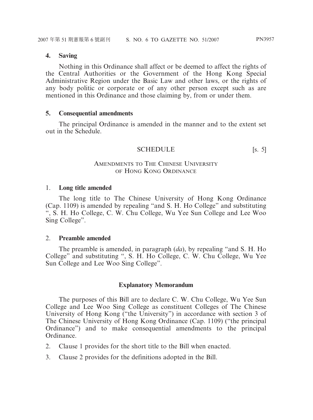### **4. Saving**

Nothing in this Ordinance shall affect or be deemed to affect the rights of the Central Authorities or the Government of the Hong Kong Special Administrative Region under the Basic Law and other laws, or the rights of any body politic or corporate or of any other person except such as are mentioned in this Ordinance and those claiming by, from or under them.

### **5. Consequential amendments**

The principal Ordinance is amended in the manner and to the extent set out in the Schedule.

### SCHEDULE [s. 5]

### AMENDMENTS TO THE CHINESE UNIVERSITY OF HONG KONG ORDINANCE

### 1. **Long title amended**

The long title to The Chinese University of Hong Kong Ordinance (Cap. 1109) is amended by repealing "and S. H. Ho College" and substituting ", S. H. Ho College, C. W. Chu College, Wu Yee Sun College and Lee Woo Sing College".

### 2. **Preamble amended**

The preamble is amended, in paragraph (*da*), by repealing "and S. H. Ho College" and substituting ", S. H. Ho College, C. W. Chu College, Wu Yee Sun College and Lee Woo Sing College".

### **Explanatory Memorandum**

The purposes of this Bill are to declare C. W. Chu College, Wu Yee Sun College and Lee Woo Sing College as constituent Colleges of The Chinese University of Hong Kong ("the University") in accordance with section 3 of The Chinese University of Hong Kong Ordinance (Cap. 1109) ("the principal Ordinance") and to make consequential amendments to the principal Ordinance.

- 2. Clause 1 provides for the short title to the Bill when enacted.
- 3. Clause 2 provides for the definitions adopted in the Bill.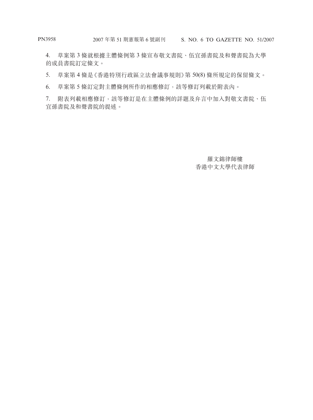4. 草案第 3 條就根據主體條例第 3 條宣布敬文書院、伍宜孫書院及和聲書院為大學 的成員書院訂定條文。

5. 草案第 4 條是《香港特別行政區立法會議事規則》第 50(8) 條所規定的保留條文。

6. 草案第 5 條訂定對主體條例所作的相應修訂,該等修訂列載於附表內。

7. 附表列載相應修訂,該等修訂是在主體條例的詳題及弁言中加入對敬文書院、伍 宜孫書院及和聲書院的提述。

> 羅文錦律師樓 香港中文大學代表律師